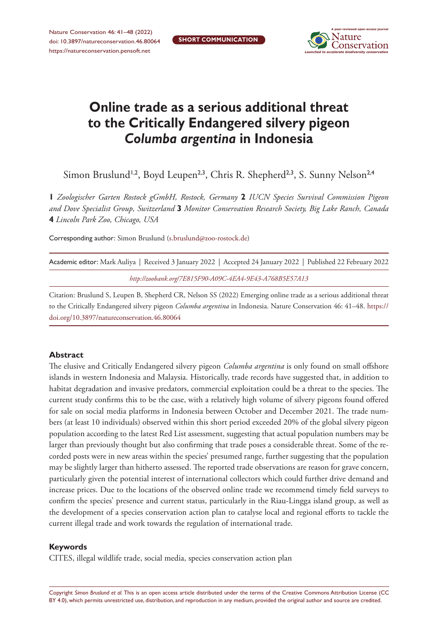**SHORT COMMUNICATION**



# **Online trade as a serious additional threat to the Critically Endangered silvery pigeon**  *Columba argentina* **in Indonesia**

Simon Bruslund<sup>1,2</sup>, Boyd Leupen<sup>2,3</sup>, Chris R. Shepherd<sup>2,3</sup>, S. Sunny Nelson<sup>2,4</sup>

**1** *Zoologischer Garten Rostock gGmbH, Rostock, Germany* **2** *IUCN Species Survival Commission Pigeon and Dove Specialist Group, Switzerland* **3** *Monitor Conservation Research Society, Big Lake Ranch, Canada*  **4** *Lincoln Park Zoo, Chicago, USA*

Corresponding author: Simon Bruslund ([s.bruslund@zoo-rostock.de](mailto:s.bruslund@zoo-rostock.de))

| Academic editor: Mark Auliya   Received 3 January 2022   Accepted 24 January 2022   Published 22 February 2022 |  |  |  |
|----------------------------------------------------------------------------------------------------------------|--|--|--|
| http://zoobank.org/7E815F90-A09C-4EA4-9E43-A768B5E57A13                                                        |  |  |  |

Citation: Bruslund S, Leupen B, Shepherd CR, Nelson SS (2022) Emerging online trade as a serious additional threat to the Critically Endangered silvery pigeon *Columba argentina* in Indonesia. Nature Conservation 46: 41–48. [https://](https://doi.org/%18) [doi.org/10.3897/natureconservation.46.80064](https://doi.org/%18)

### **Abstract**

The elusive and Critically Endangered silvery pigeon *Columba argentina* is only found on small offshore islands in western Indonesia and Malaysia. Historically, trade records have suggested that, in addition to habitat degradation and invasive predators, commercial exploitation could be a threat to the species. The current study confirms this to be the case, with a relatively high volume of silvery pigeons found offered for sale on social media platforms in Indonesia between October and December 2021. The trade numbers (at least 10 individuals) observed within this short period exceeded 20% of the global silvery pigeon population according to the latest Red List assessment, suggesting that actual population numbers may be larger than previously thought but also confirming that trade poses a considerable threat. Some of the recorded posts were in new areas within the species' presumed range, further suggesting that the population may be slightly larger than hitherto assessed. The reported trade observations are reason for grave concern, particularly given the potential interest of international collectors which could further drive demand and increase prices. Due to the locations of the observed online trade we recommend timely field surveys to confirm the species' presence and current status, particularly in the Riau-Lingga island group, as well as the development of a species conservation action plan to catalyse local and regional efforts to tackle the current illegal trade and work towards the regulation of international trade.

#### **Keywords**

CITES, illegal wildlife trade, social media, species conservation action plan

Copyright *Simon Bruslund et al.* This is an open access article distributed under the terms of the [Creative Commons Attribution License \(CC](http://creativecommons.org/licenses/by/4.0/)  [BY 4.0\)](http://creativecommons.org/licenses/by/4.0/), which permits unrestricted use, distribution, and reproduction in any medium, provided the original author and source are credited.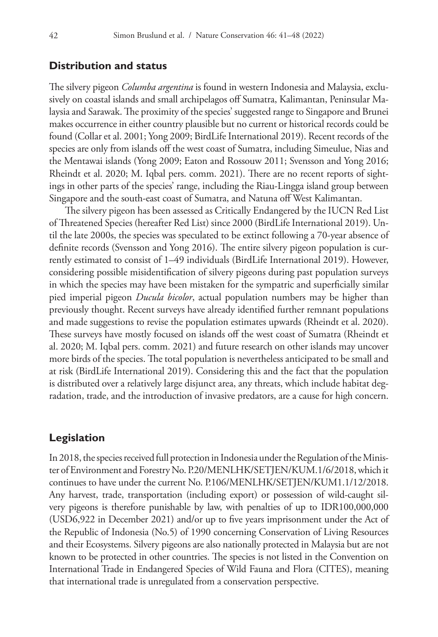# **Distribution and status**

The silvery pigeon *Columba argentina* is found in western Indonesia and Malaysia, exclusively on coastal islands and small archipelagos off Sumatra, Kalimantan, Peninsular Malaysia and Sarawak. The proximity of the species' suggested range to Singapore and Brunei makes occurrence in either country plausible but no current or historical records could be found (Collar et al. 2001; Yong 2009; BirdLife International 2019). Recent records of the species are only from islands off the west coast of Sumatra, including Simeulue, Nias and the Mentawai islands (Yong 2009; Eaton and Rossouw 2011; Svensson and Yong 2016; Rheindt et al. 2020; M. Iqbal pers. comm. 2021). There are no recent reports of sightings in other parts of the species' range, including the Riau-Lingga island group between Singapore and the south-east coast of Sumatra, and Natuna off West Kalimantan.

The silvery pigeon has been assessed as Critically Endangered by the IUCN Red List of Threatened Species (hereafter Red List) since 2000 (BirdLife International 2019). Until the late 2000s, the species was speculated to be extinct following a 70-year absence of definite records (Svensson and Yong 2016). The entire silvery pigeon population is currently estimated to consist of 1–49 individuals (BirdLife International 2019). However, considering possible misidentification of silvery pigeons during past population surveys in which the species may have been mistaken for the sympatric and superficially similar pied imperial pigeon *Ducula bicolor*, actual population numbers may be higher than previously thought. Recent surveys have already identified further remnant populations and made suggestions to revise the population estimates upwards (Rheindt et al. 2020). These surveys have mostly focused on islands off the west coast of Sumatra (Rheindt et al. 2020; M. Iqbal pers. comm. 2021) and future research on other islands may uncover more birds of the species. The total population is nevertheless anticipated to be small and at risk (BirdLife International 2019). Considering this and the fact that the population is distributed over a relatively large disjunct area, any threats, which include habitat degradation, trade, and the introduction of invasive predators, are a cause for high concern.

# **Legislation**

In 2018, the species received full protection in Indonesia under the Regulation of the Minister of Environment and Forestry No. P.20/MENLHK/SETJEN/KUM.1/6/2018, which it continues to have under the current No. P.106/MENLHK/SETJEN/KUM1.1/12/2018. Any harvest, trade, transportation (including export) or possession of wild-caught silvery pigeons is therefore punishable by law, with penalties of up to IDR100,000,000 (USD6,922 in December 2021) and/or up to five years imprisonment under the Act of the Republic of Indonesia (No.5) of 1990 concerning Conservation of Living Resources and their Ecosystems. Silvery pigeons are also nationally protected in Malaysia but are not known to be protected in other countries. The species is not listed in the Convention on International Trade in Endangered Species of Wild Fauna and Flora (CITES), meaning that international trade is unregulated from a conservation perspective.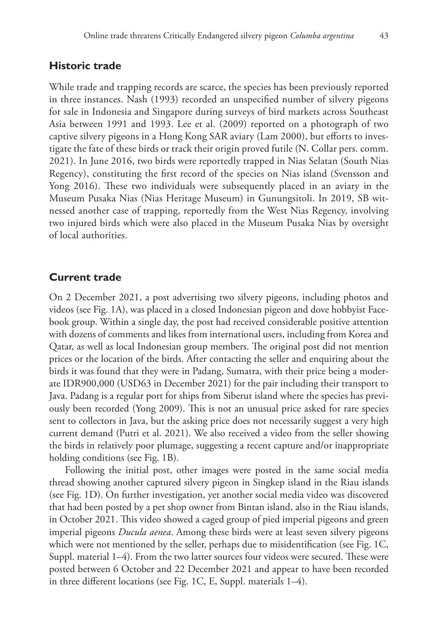While trade and trapping records are scarce, the species has been previously reported in three instances. Nash (1993) recorded an unspecified number of silvery pigeons for sale in Indonesia and Singapore during surveys of bird markets across Southeast Asia between 1991 and 1993. Lee et al. (2009) reported on a photograph of two captive silvery pigeons in a Hong Kong SAR aviary (Lam 2000), but efforts to investigate the fate of these birds or track their origin proved futile (N. Collar pers. comm. 2021). In June 2016, two birds were reportedly trapped in Nias Selatan (South Nias Regency), constituting the first record of the species on Nias island (Svensson and Yong 2016). These two individuals were subsequently placed in an aviary in the Museum Pusaka Nias (Nias Heritage Museum) in Gunungsitoli. In 2019, SB witnessed another case of trapping, reportedly from the West Nias Regency, involving two injured birds which were also placed in the Museum Pusaka Nias by oversight of local authorities.

# **Current trade**

On 2 December 2021, a post advertising two silvery pigeons, including photos and videos (see Fig. 1A), was placed in a closed Indonesian pigeon and dove hobbyist Facebook group. Within a single day, the post had received considerable positive attention with dozens of comments and likes from international users, including from Korea and Qatar, as well as local Indonesian group members. The original post did not mention prices or the location of the birds. After contacting the seller and enquiring about the birds it was found that they were in Padang, Sumatra, with their price being a moderate IDR900,000 (USD63 in December 2021) for the pair including their transport to Java. Padang is a regular port for ships from Siberut island where the species has previously been recorded (Yong 2009). This is not an unusual price asked for rare species sent to collectors in Java, but the asking price does not necessarily suggest a very high current demand (Putri et al. 2021). We also received a video from the seller showing the birds in relatively poor plumage, suggesting a recent capture and/or inappropriate holding conditions (see Fig. 1B).

Following the initial post, other images were posted in the same social media thread showing another captured silvery pigeon in Singkep island in the Riau islands (see Fig. 1D). On further investigation, yet another social media video was discovered that had been posted by a pet shop owner from Bintan island, also in the Riau islands, in October 2021. This video showed a caged group of pied imperial pigeons and green imperial pigeons *Ducula aenea*. Among these birds were at least seven silvery pigeons which were not mentioned by the seller, perhaps due to misidentification (see Fig. 1C, Suppl. material 1–4). From the two latter sources four videos were secured. These were posted between 6 October and 22 December 2021 and appear to have been recorded in three different locations (see Fig. 1C, E, Suppl. materials 1–4).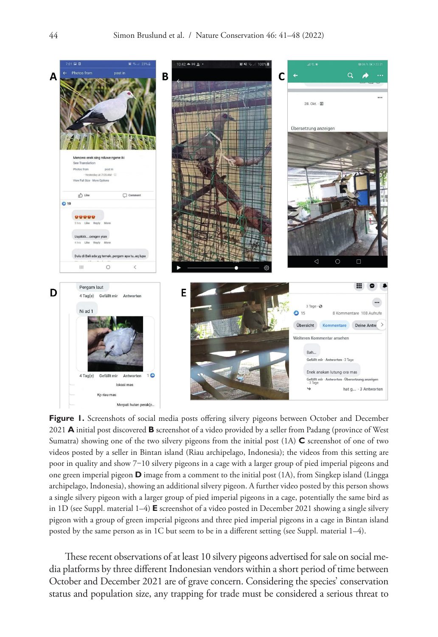

Figure 1. Screenshots of social media posts offering silvery pigeons between October and December 2021 **A** initial post discovered **B** screenshot of a video provided by a seller from Padang (province of West Sumatra) showing one of the two silvery pigeons from the initial post (1A) **C** screenshot of one of two videos posted by a seller in Bintan island (Riau archipelago, Indonesia); the videos from this setting are poor in quality and show 7‒10 silvery pigeons in a cage with a larger group of pied imperial pigeons and one green imperial pigeon **D** image from a comment to the initial post (1A), from Singkep island (Lingga archipelago, Indonesia), showing an additional silvery pigeon. A further video posted by this person shows a single silvery pigeon with a larger group of pied imperial pigeons in a cage, potentially the same bird as in 1D (see Suppl. material 1–4) **E** screenshot of a video posted in December 2021 showing a single silvery pigeon with a group of green imperial pigeons and three pied imperial pigeons in a cage in Bintan island posted by the same person as in 1C but seem to be in a different setting (see Suppl. material 1–4).

These recent observations of at least 10 silvery pigeons advertised for sale on social media platforms by three different Indonesian vendors within a short period of time between October and December 2021 are of grave concern. Considering the species' conservation status and population size, any trapping for trade must be considered a serious threat to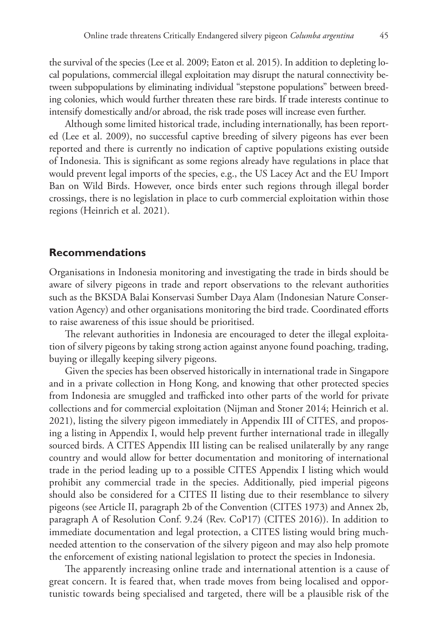the survival of the species (Lee et al. 2009; Eaton et al. 2015). In addition to depleting local populations, commercial illegal exploitation may disrupt the natural connectivity between subpopulations by eliminating individual "stepstone populations" between breeding colonies, which would further threaten these rare birds. If trade interests continue to intensify domestically and/or abroad, the risk trade poses will increase even further.

Although some limited historical trade, including internationally, has been reported (Lee et al. 2009), no successful captive breeding of silvery pigeons has ever been reported and there is currently no indication of captive populations existing outside of Indonesia. This is significant as some regions already have regulations in place that would prevent legal imports of the species, e.g., the US Lacey Act and the EU Import Ban on Wild Birds. However, once birds enter such regions through illegal border crossings, there is no legislation in place to curb commercial exploitation within those regions (Heinrich et al. 2021).

## **Recommendations**

Organisations in Indonesia monitoring and investigating the trade in birds should be aware of silvery pigeons in trade and report observations to the relevant authorities such as the BKSDA Balai Konservasi Sumber Daya Alam (Indonesian Nature Conservation Agency) and other organisations monitoring the bird trade. Coordinated efforts to raise awareness of this issue should be prioritised.

The relevant authorities in Indonesia are encouraged to deter the illegal exploitation of silvery pigeons by taking strong action against anyone found poaching, trading, buying or illegally keeping silvery pigeons.

Given the species has been observed historically in international trade in Singapore and in a private collection in Hong Kong, and knowing that other protected species from Indonesia are smuggled and trafficked into other parts of the world for private collections and for commercial exploitation (Nijman and Stoner 2014; Heinrich et al. 2021), listing the silvery pigeon immediately in Appendix III of CITES, and proposing a listing in Appendix I, would help prevent further international trade in illegally sourced birds. A CITES Appendix III listing can be realised unilaterally by any range country and would allow for better documentation and monitoring of international trade in the period leading up to a possible CITES Appendix I listing which would prohibit any commercial trade in the species. Additionally, pied imperial pigeons should also be considered for a CITES II listing due to their resemblance to silvery pigeons (see Article II, paragraph 2b of the Convention (CITES 1973) and Annex 2b, paragraph A of Resolution Conf. 9.24 (Rev. CoP17) (CITES 2016)). In addition to immediate documentation and legal protection, a CITES listing would bring muchneeded attention to the conservation of the silvery pigeon and may also help promote the enforcement of existing national legislation to protect the species in Indonesia.

The apparently increasing online trade and international attention is a cause of great concern. It is feared that, when trade moves from being localised and opportunistic towards being specialised and targeted, there will be a plausible risk of the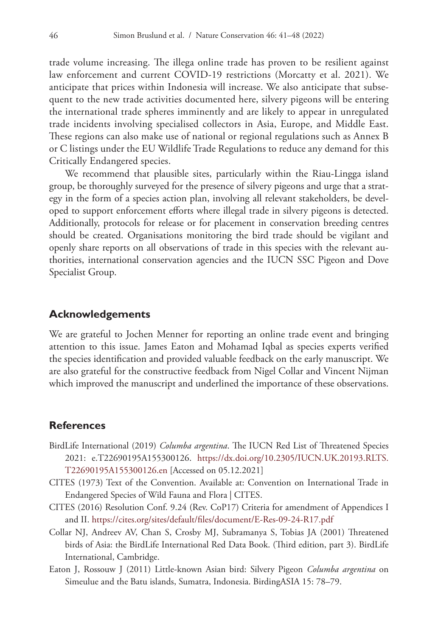trade volume increasing. The illega online trade has proven to be resilient against law enforcement and current COVID-19 restrictions (Morcatty et al. 2021). We anticipate that prices within Indonesia will increase. We also anticipate that subsequent to the new trade activities documented here, silvery pigeons will be entering the international trade spheres imminently and are likely to appear in unregulated trade incidents involving specialised collectors in Asia, Europe, and Middle East. These regions can also make use of national or regional regulations such as Annex B or C listings under the EU Wildlife Trade Regulations to reduce any demand for this Critically Endangered species.

We recommend that plausible sites, particularly within the Riau-Lingga island group, be thoroughly surveyed for the presence of silvery pigeons and urge that a strategy in the form of a species action plan, involving all relevant stakeholders, be developed to support enforcement efforts where illegal trade in silvery pigeons is detected. Additionally, protocols for release or for placement in conservation breeding centres should be created. Organisations monitoring the bird trade should be vigilant and openly share reports on all observations of trade in this species with the relevant authorities, international conservation agencies and the IUCN SSC Pigeon and Dove Specialist Group.

#### **Acknowledgements**

We are grateful to Jochen Menner for reporting an online trade event and bringing attention to this issue. James Eaton and Mohamad Iqbal as species experts verified the species identification and provided valuable feedback on the early manuscript. We are also grateful for the constructive feedback from Nigel Collar and Vincent Nijman which improved the manuscript and underlined the importance of these observations.

### **References**

- BirdLife International (2019) *Columba argentina*. The IUCN Red List of Threatened Species 2021: e.T22690195A155300126. [https://dx.doi.org/10.2305/IUCN.UK.20193.RLTS.](https://dx.doi.org/10.2305/IUCN.UK.20193.RLTS.T22690195A155300126.en) [T22690195A155300126.en](https://dx.doi.org/10.2305/IUCN.UK.20193.RLTS.T22690195A155300126.en) [Accessed on 05.12.2021]
- CITES (1973) Text of the Convention. Available at: Convention on International Trade in Endangered Species of Wild Fauna and Flora | CITES.
- CITES (2016) Resolution Conf. 9.24 (Rev. CoP17) Criteria for amendment of Appendices I and II.<https://cites.org/sites/default/files/document/E-Res-09-24-R17.pdf>
- Collar NJ, Andreev AV, Chan S, Crosby MJ, Subramanya S, Tobias JA (2001) Threatened birds of Asia: the BirdLife International Red Data Book. (Third edition, part 3). BirdLife International, Cambridge.
- Eaton J, Rossouw J (2011) Little-known Asian bird: Silvery Pigeon *Columba argentina* on Simeulue and the Batu islands, Sumatra, Indonesia. BirdingASIA 15: 78–79.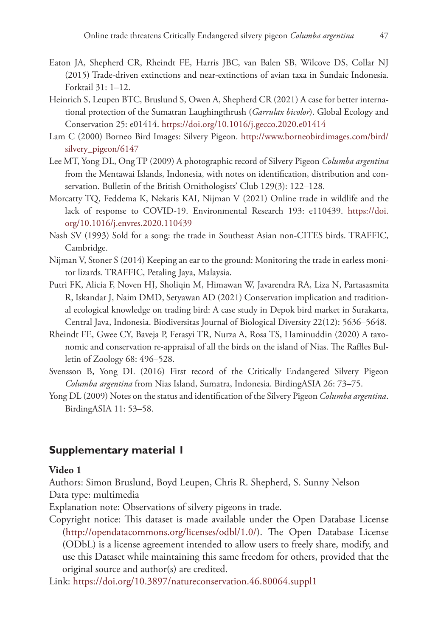- Eaton JA, Shepherd CR, Rheindt FE, Harris JBC, van Balen SB, Wilcove DS, Collar NJ (2015) Trade-driven extinctions and near-extinctions of avian taxa in Sundaic Indonesia. Forktail 31: 1–12.
- Heinrich S, Leupen BTC, Bruslund S, Owen A, Shepherd CR (2021) A case for better international protection of the Sumatran Laughingthrush (*Garrulax bicolor*). Global Ecology and Conservation 25: e01414. <https://doi.org/10.1016/j.gecco.2020.e01414>
- Lam C (2000) Borneo Bird Images: Silvery Pigeon. [http://www.borneobirdimages.com/bird/](http://www.borneobirdimages.com/bird/silvery_pigeon/6147) [silvery\\_pigeon/6147](http://www.borneobirdimages.com/bird/silvery_pigeon/6147)
- Lee MT, Yong DL, Ong TP (2009) A photographic record of Silvery Pigeon *Columba argentina* from the Mentawai Islands, Indonesia, with notes on identification, distribution and conservation. Bulletin of the British Ornithologists' Club 129(3): 122–128.
- Morcatty TQ, Feddema K, Nekaris KAI, Nijman V (2021) Online trade in wildlife and the lack of response to COVID-19. Environmental Research 193: e110439. [https://doi.](https://doi.org/10.1016/j.envres.2020.110439) [org/10.1016/j.envres.2020.110439](https://doi.org/10.1016/j.envres.2020.110439)
- Nash SV (1993) Sold for a song: the trade in Southeast Asian non-CITES birds. TRAFFIC, Cambridge.
- Nijman V, Stoner S (2014) Keeping an ear to the ground: Monitoring the trade in earless monitor lizards. TRAFFIC, Petaling Jaya, Malaysia.
- Putri FK, Alicia F, Noven HJ, Sholiqin M, Himawan W, Javarendra RA, Liza N, Partasasmita R, Iskandar J, Naim DMD, Setyawan AD (2021) Conservation implication and traditional ecological knowledge on trading bird: A case study in Depok bird market in Surakarta, Central Java, Indonesia. Biodiversitas Journal of Biological Diversity 22(12): 5636–5648.
- Rheindt FE, Gwee CY, Baveja P, Ferasyi TR, Nurza A, Rosa TS, Haminuddin (2020) A taxonomic and conservation re-appraisal of all the birds on the island of Nias. The Raffles Bulletin of Zoology 68: 496–528.
- Svensson B, Yong DL (2016) First record of the Critically Endangered Silvery Pigeon *Columba argentina* from Nias Island, Sumatra, Indonesia. BirdingASIA 26: 73–75.
- Yong DL (2009) Notes on the status and identification of the Silvery Pigeon *Columba argentina*. BirdingASIA 11: 53–58.

# **Supplementary material 1**

### **Video 1**

Authors: Simon Bruslund, Boyd Leupen, Chris R. Shepherd, S. Sunny Nelson Data type: multimedia

Explanation note: Observations of silvery pigeons in trade.

Copyright notice: This dataset is made available under the Open Database License [\(http://opendatacommons.org/licenses/odbl/1.0/](http://opendatacommons.org/licenses/odbl/1.0/)). The Open Database License (ODbL) is a license agreement intended to allow users to freely share, modify, and use this Dataset while maintaining this same freedom for others, provided that the original source and author(s) are credited.

Link: [https://doi.org/10.3897/natureconservation.46.80064.suppl1](https://doi.org/%18.suppl1)